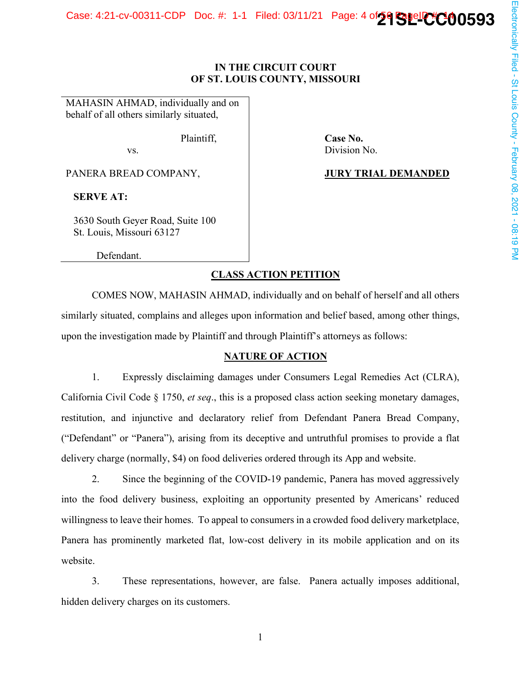# Case: 4:21-cv-00311-CDP Doc. #: 1-1 Filed: 03/11/21 Page: 4 of 29 SuelletCO0593

# **IN THE CIRCUIT COURT** OF ST. LOUIS COUNTY, MISSOURI

Case No. Division No.

**JURY TRIAL DEMANDED** 

MAHASIN AHMAD, individually and on behalf of all others similarly situated,

Plaintiff.

VS.

PANERA BREAD COMPANY,

**SERVE AT:** 

3630 South Geyer Road, Suite 100 St. Louis, Missouri 63127

Defendant.

# **CLASS ACTION PETITION**

COMES NOW, MAHASIN AHMAD, individually and on behalf of herself and all others similarly situated, complains and alleges upon information and belief based, among other things, upon the investigation made by Plaintiff and through Plaintiff's attorneys as follows:

# **NATURE OF ACTION**

1. Expressly disclaiming damages under Consumers Legal Remedies Act (CLRA), California Civil Code § 1750, et seq., this is a proposed class action seeking monetary damages, restitution, and injunctive and declaratory relief from Defendant Panera Bread Company, ("Defendant" or "Panera"), arising from its deceptive and untruthful promises to provide a flat delivery charge (normally, \$4) on food deliveries ordered through its App and website.

2. Since the beginning of the COVID-19 pandemic, Panera has moved aggressively into the food delivery business, exploiting an opportunity presented by Americans' reduced willingness to leave their homes. To appeal to consumers in a crowded food delivery marketplace, Panera has prominently marketed flat, low-cost delivery in its mobile application and on its website.

 $3.$ These representations, however, are false. Panera actually imposes additional, hidden delivery charges on its customers.

 $\mathbf{1}$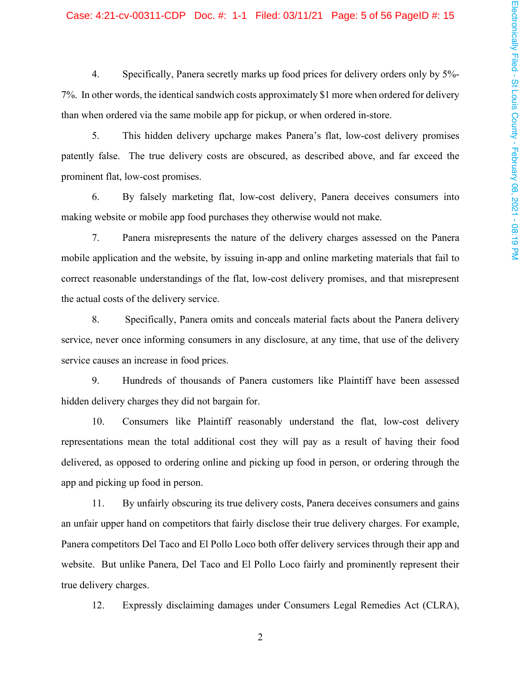#### Case: 4:21-cv-00311-CDP Doc. #: 1-1 Filed: 03/11/21 Page: 5 of 56 PageID #: 15

4. Specifically, Panera secretly marks up food prices for delivery orders only by 5%-7%. In other words, the identical sandwich costs approximately \$1 more when ordered for delivery than when ordered via the same mobile app for pickup, or when ordered in-store.

5. This hidden delivery upcharge makes Panera's flat, low-cost delivery promises patently false. The true delivery costs are obscured, as described above, and far exceed the prominent flat, low-cost promises.

6. By falsely marketing flat, low-cost delivery, Panera deceives consumers into making website or mobile app food purchases they otherwise would not make.

7. Panera misrepresents the nature of the delivery charges assessed on the Panera mobile application and the website, by issuing in-app and online marketing materials that fail to correct reasonable understandings of the flat, low-cost delivery promises, and that misrepresent the actual costs of the delivery service.

8. Specifically, Panera omits and conceals material facts about the Panera delivery service, never once informing consumers in any disclosure, at any time, that use of the delivery service causes an increase in food prices.

9. Hundreds of thousands of Panera customers like Plaintiff have been assessed hidden delivery charges they did not bargain for.

10. Consumers like Plaintiff reasonably understand the flat, low-cost delivery representations mean the total additional cost they will pay as a result of having their food delivered, as opposed to ordering online and picking up food in person, or ordering through the app and picking up food in person.

By unfairly obscuring its true delivery costs, Panera deceives consumers and gains 11. an unfair upper hand on competitors that fairly disclose their true delivery charges. For example, Panera competitors Del Taco and El Pollo Loco both offer delivery services through their app and website. But unlike Panera, Del Taco and El Pollo Loco fairly and prominently represent their true delivery charges.

12. Expressly disclaiming damages under Consumers Legal Remedies Act (CLRA),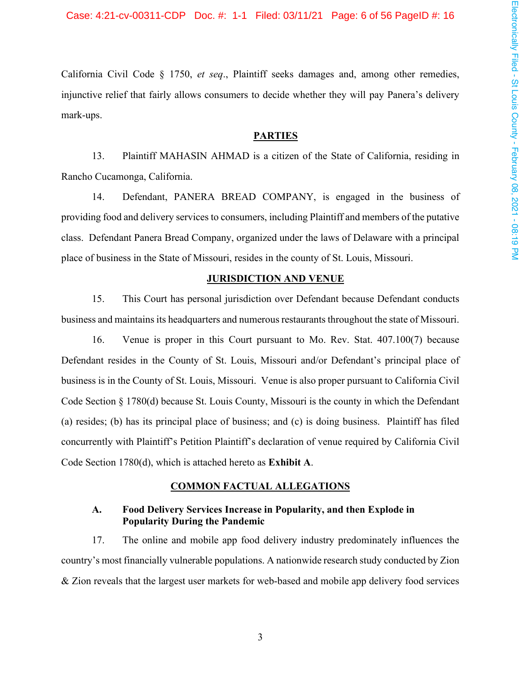California Civil Code § 1750, et seq., Plaintiff seeks damages and, among other remedies, injunctive relief that fairly allows consumers to decide whether they will pay Panera's delivery mark-ups.

### **PARTIES**

13. Plaintiff MAHASIN AHMAD is a citizen of the State of California, residing in Rancho Cucamonga, California.

Defendant, PANERA BREAD COMPANY, is engaged in the business of 14. providing food and delivery services to consumers, including Plaintiff and members of the putative class. Defendant Panera Bread Company, organized under the laws of Delaware with a principal place of business in the State of Missouri, resides in the county of St. Louis, Missouri.

#### **JURISDICTION AND VENUE**

15. This Court has personal jurisdiction over Defendant because Defendant conducts business and maintains its headquarters and numerous restaurants throughout the state of Missouri.

16. Venue is proper in this Court pursuant to Mo. Rev. Stat. 407.100(7) because Defendant resides in the County of St. Louis, Missouri and/or Defendant's principal place of business is in the County of St. Louis, Missouri. Venue is also proper pursuant to California Civil Code Section § 1780(d) because St. Louis County, Missouri is the county in which the Defendant (a) resides; (b) has its principal place of business; and (c) is doing business. Plaintiff has filed concurrently with Plaintiff's Petition Plaintiff's declaration of venue required by California Civil Code Section 1780(d), which is attached hereto as Exhibit A.

## **COMMON FACTUAL ALLEGATIONS**

#### A. Food Delivery Services Increase in Popularity, and then Explode in **Popularity During the Pandemic**

17. The online and mobile app food delivery industry predominately influences the country's most financially vulnerable populations. A nationwide research study conducted by Zion & Zion reveals that the largest user markets for web-based and mobile app delivery food services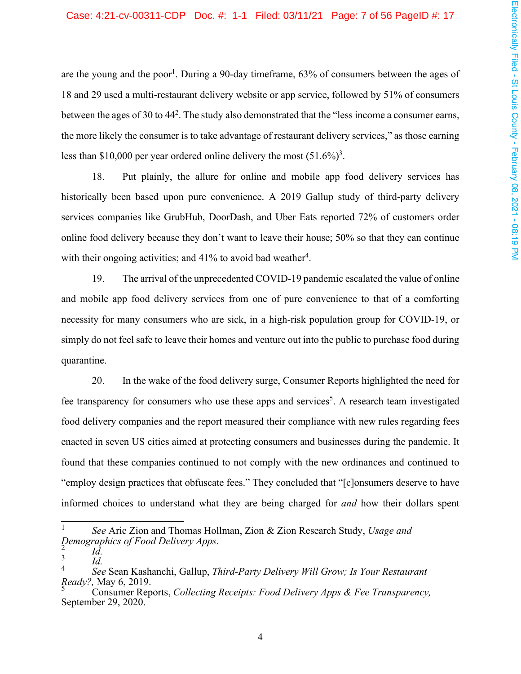#### Case: 4:21-cv-00311-CDP Doc. #: 1-1 Filed: 03/11/21 Page: 7 of 56 PageID #: 17

are the young and the poor<sup>1</sup>. During a 90-day timeframe,  $63\%$  of consumers between the ages of 18 and 29 used a multi-restaurant delivery website or app service, followed by 51% of consumers between the ages of 30 to  $44<sup>2</sup>$ . The study also demonstrated that the "less income a consumer earns, the more likely the consumer is to take advantage of restaurant delivery services," as those earning less than \$10,000 per year ordered online delivery the most  $(51.6\%)^3$ .

Put plainly, the allure for online and mobile app food delivery services has 18. historically been based upon pure convenience. A 2019 Gallup study of third-party delivery services companies like GrubHub, DoorDash, and Uber Eats reported 72% of customers order online food delivery because they don't want to leave their house; 50% so that they can continue with their ongoing activities; and  $41\%$  to avoid bad weather<sup>4</sup>.

19. The arrival of the unprecedented COVID-19 pandemic escalated the value of online and mobile app food delivery services from one of pure convenience to that of a comforting necessity for many consumers who are sick, in a high-risk population group for COVID-19, or simply do not feel safe to leave their homes and venture out into the public to purchase food during quarantine.

20. In the wake of the food delivery surge, Consumer Reports highlighted the need for fee transparency for consumers who use these apps and services<sup>5</sup>. A research team investigated food delivery companies and the report measured their compliance with new rules regarding fees enacted in seven US cities aimed at protecting consumers and businesses during the pandemic. It found that these companies continued to not comply with the new ordinances and continued to "employ design practices that obfuscate fees." They concluded that "[c] on sumers deserve to have informed choices to understand what they are being charged for *and* how their dollars spent

 $\mathbf{1}$ See Aric Zion and Thomas Hollman, Zion & Zion Research Study, Usage and Demographics of Food Delivery Apps.

Id.  $\mathfrak{Z}$ 

Id.  $\overline{\mathcal{L}}$ 

See Sean Kashanchi, Gallup, Third-Party Delivery Will Grow; Is Your Restaurant Ready?, May 6, 2019.

Consumer Reports, Collecting Receipts: Food Delivery Apps & Fee Transparency, September 29, 2020.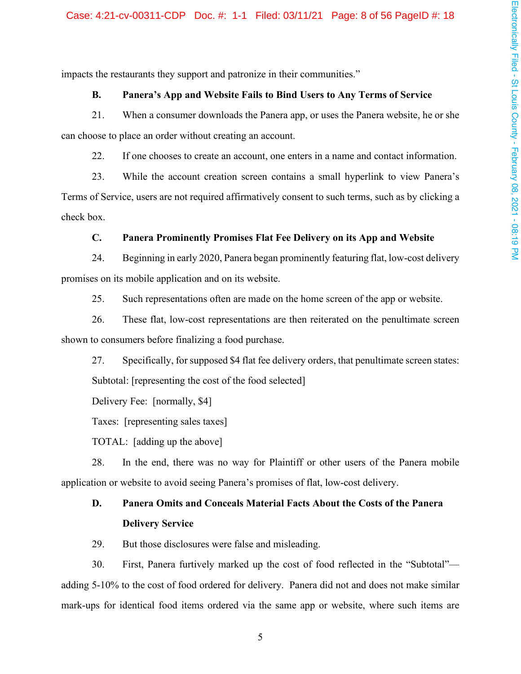impacts the restaurants they support and patronize in their communities."

#### **B.** Panera's App and Website Fails to Bind Users to Any Terms of Service

21. When a consumer downloads the Panera app, or uses the Panera website, he or she can choose to place an order without creating an account.

22. If one chooses to create an account, one enters in a name and contact information.

23. While the account creation screen contains a small hyperlink to view Panera's Terms of Service, users are not required affirmatively consent to such terms, such as by clicking a check box.

#### $C_{\bullet}$ Panera Prominently Promises Flat Fee Delivery on its App and Website

Beginning in early 2020, Panera began prominently featuring flat, low-cost delivery 24. promises on its mobile application and on its website.

25. Such representations often are made on the home screen of the app or website.

26. These flat, low-cost representations are then reiterated on the penultimate screen shown to consumers before finalizing a food purchase.

27. Specifically, for supposed \$4 flat fee delivery orders, that penultimate screen states: Subtotal: [representing the cost of the food selected]

Delivery Fee: [normally, \$4]

Taxes: [representing sales taxes]

TOTAL: [adding up the above]

28. In the end, there was no way for Plaintiff or other users of the Panera mobile application or website to avoid seeing Panera's promises of flat, low-cost delivery.

#### D. **Panera Omits and Conceals Material Facts About the Costs of the Panera Delivery Service**

29. But those disclosures were false and misleading.

30. First, Panera furtively marked up the cost of food reflected in the "Subtotal"adding 5-10% to the cost of food ordered for delivery. Panera did not and does not make similar mark-ups for identical food items ordered via the same app or website, where such items are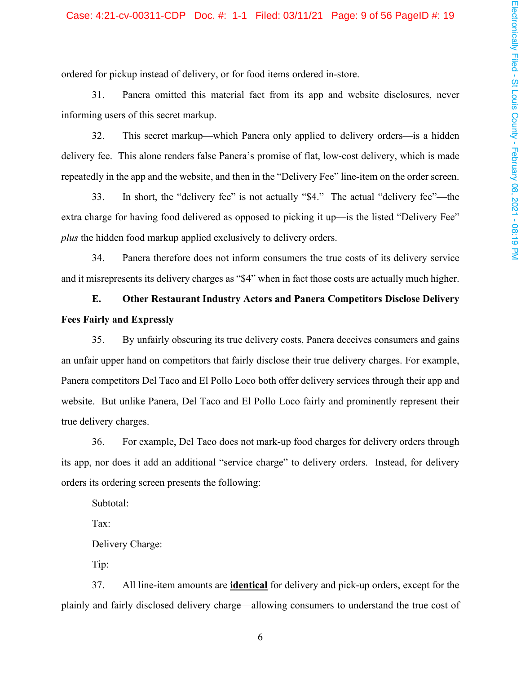ordered for pickup instead of delivery, or for food items ordered in-store.

31. Panera omitted this material fact from its app and website disclosures, never informing users of this secret markup.

32. This secret markup—which Panera only applied to delivery orders—is a hidden delivery fee. This alone renders false Panera's promise of flat, low-cost delivery, which is made repeatedly in the app and the website, and then in the "Delivery Fee" line-item on the order screen.

In short, the "delivery fee" is not actually "\$4." The actual "delivery fee"—the 33. extra charge for having food delivered as opposed to picking it up—is the listed "Delivery Fee" *plus* the hidden food markup applied exclusively to delivery orders.

34. Panera therefore does not inform consumers the true costs of its delivery service and it misrepresents its delivery charges as "\$4" when in fact those costs are actually much higher.

E. **Other Restaurant Industry Actors and Panera Competitors Disclose Delivery Fees Fairly and Expressly** 

35. By unfairly obscuring its true delivery costs, Panera deceives consumers and gains an unfair upper hand on competitors that fairly disclose their true delivery charges. For example, Panera competitors Del Taco and El Pollo Loco both offer delivery services through their app and website. But unlike Panera, Del Taco and El Pollo Loco fairly and prominently represent their true delivery charges.

For example, Del Taco does not mark-up food charges for delivery orders through 36. its app, nor does it add an additional "service charge" to delivery orders. Instead, for delivery orders its ordering screen presents the following:

Subtotal:

Tax:

Delivery Charge:

Tip:

All line-item amounts are *identical* for delivery and pick-up orders, except for the 37. plainly and fairly disclosed delivery charge—allowing consumers to understand the true cost of

6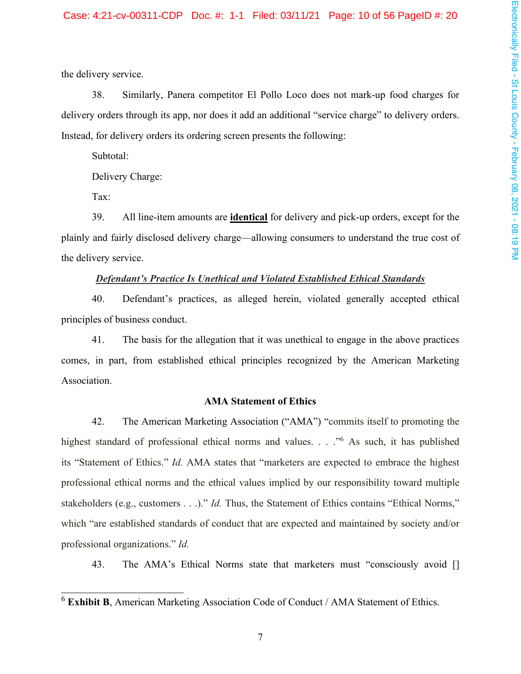the delivery service.

38. Similarly, Panera competitor El Pollo Loco does not mark-up food charges for delivery orders through its app, nor does it add an additional "service charge" to delivery orders. Instead, for delivery orders its ordering screen presents the following:

Subtotal:

Delivery Charge:

Tax:

39. All line-item amounts are **identical** for delivery and pick-up orders, except for the plainly and fairly disclosed delivery charge—allowing consumers to understand the true cost of the delivery service.

# **Defendant's Practice Is Unethical and Violated Established Ethical Standards**

40. Defendant's practices, as alleged herein, violated generally accepted ethical principles of business conduct.

41. The basis for the allegation that it was unethical to engage in the above practices comes, in part, from established ethical principles recognized by the American Marketing Association.

# **AMA Statement of Ethics**

42. The American Marketing Association ("AMA") "commits itself to promoting the its "Statement of Ethics." Id. AMA states that "marketers are expected to embrace the highest professional ethical norms and the ethical values implied by our responsibility toward multiple stakeholders (e.g., customers . . .)." *Id*. Thus, the Statement of Ethics contains "Ethical Norms," which "are established standards of conduct that are expected and maintained by society and/or professional organizations." Id.

43. The AMA's Ethical Norms state that marketers must "consciously avoid []

 $6$  Exhibit B, American Marketing Association Code of Conduct / AMA Statement of Ethics.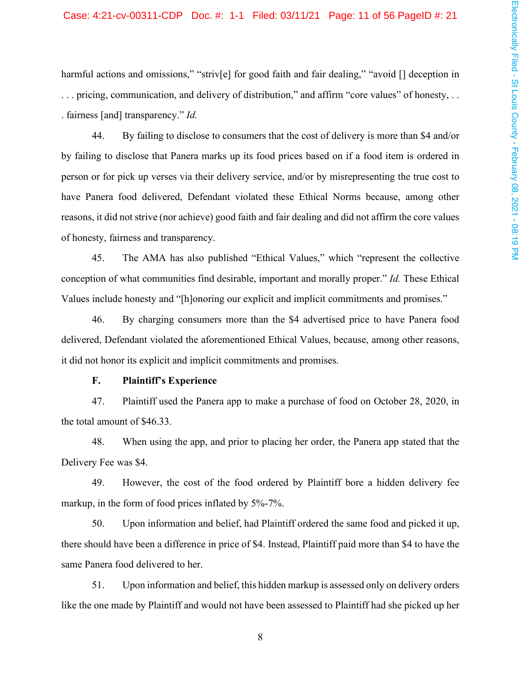### Case: 4:21-cv-00311-CDP Doc. #: 1-1 Filed: 03/11/21 Page: 11 of 56 PageID #: 21

harmful actions and omissions," "striv[e] for good faith and fair dealing," "avoid [] deception in ... pricing, communication, and delivery of distribution," and affirm "core values" of honesty, ... . fairness [and] transparency."  $Id$ .

44. By failing to disclose to consumers that the cost of delivery is more than \$4 and/or by failing to disclose that Panera marks up its food prices based on if a food item is ordered in person or for pick up verses via their delivery service, and/or by misrepresenting the true cost to have Panera food delivered, Defendant violated these Ethical Norms because, among other reasons, it did not strive (nor achieve) good faith and fair dealing and did not affirm the core values of honesty, fairness and transparency.

The AMA has also published "Ethical Values," which "represent the collective" 45. conception of what communities find desirable, important and morally proper." Id. These Ethical Values include honesty and "[h]onoring our explicit and implicit commitments and promises."

46. By charging consumers more than the \$4 advertised price to have Panera food delivered, Defendant violated the aforementioned Ethical Values, because, among other reasons, it did not honor its explicit and implicit commitments and promises.

#### F. **Plaintiff's Experience**

47. Plaintiff used the Panera app to make a purchase of food on October 28, 2020, in the total amount of \$46.33.

48. When using the app, and prior to placing her order, the Panera app stated that the Delivery Fee was \$4.

49. However, the cost of the food ordered by Plaintiff bore a hidden delivery fee markup, in the form of food prices inflated by 5%-7%.

50. Upon information and belief, had Plaintiff ordered the same food and picked it up, there should have been a difference in price of \$4. Instead, Plaintiff paid more than \$4 to have the same Panera food delivered to her.

Upon information and belief, this hidden markup is assessed only on delivery orders 51. like the one made by Plaintiff and would not have been assessed to Plaintiff had she picked up her

 $8\,$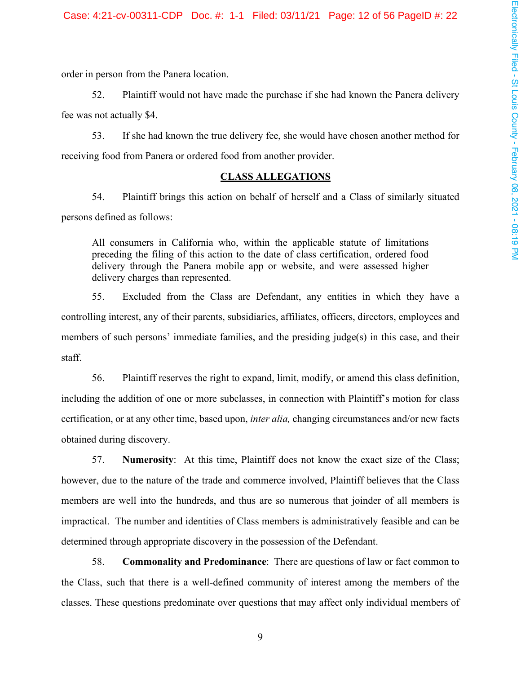order in person from the Panera location.

52. Plaintiff would not have made the purchase if she had known the Panera delivery fee was not actually \$4.

If she had known the true delivery fee, she would have chosen another method for 53. receiving food from Panera or ordered food from another provider.

#### **CLASS ALLEGATIONS**

54. Plaintiff brings this action on behalf of herself and a Class of similarly situated persons defined as follows:

All consumers in California who, within the applicable statute of limitations preceding the filing of this action to the date of class certification, ordered food delivery through the Panera mobile app or website, and were assessed higher delivery charges than represented.

55. Excluded from the Class are Defendant, any entities in which they have a controlling interest, any of their parents, subsidiaries, affiliates, officers, directors, employees and members of such persons' immediate families, and the presiding  $iude(s)$  in this case, and their staff.

56. Plaintiff reserves the right to expand, limit, modify, or amend this class definition, including the addition of one or more subclasses, in connection with Plaintiff's motion for class certification, or at any other time, based upon, *inter alia*, changing circumstances and/or new facts obtained during discovery.

57. **Numerosity:** At this time, Plaintiff does not know the exact size of the Class; however, due to the nature of the trade and commerce involved, Plaintiff believes that the Class members are well into the hundreds, and thus are so numerous that joinder of all members is impractical. The number and identities of Class members is administratively feasible and can be determined through appropriate discovery in the possession of the Defendant.

58. **Commonality and Predominance:** There are questions of law or fact common to the Class, such that there is a well-defined community of interest among the members of the classes. These questions predominate over questions that may affect only individual members of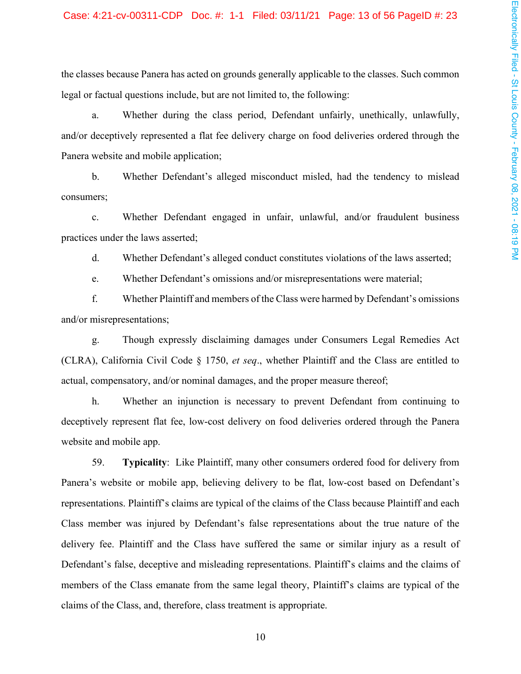the classes because Panera has acted on grounds generally applicable to the classes. Such common legal or factual questions include, but are not limited to, the following:

Whether during the class period, Defendant unfairly, unethically, unlawfully, a. and/or deceptively represented a flat fee delivery charge on food deliveries ordered through the Panera website and mobile application;

 $\mathbf b$ . Whether Defendant's alleged misconduct misled, had the tendency to mislead consumers;

Whether Defendant engaged in unfair, unlawful, and/or fraudulent business  $c.$ practices under the laws asserted;

d. Whether Defendant's alleged conduct constitutes violations of the laws asserted;

Whether Defendant's omissions and/or misrepresentations were material; e.

f. Whether Plaintiff and members of the Class were harmed by Defendant's omissions and/or misrepresentations;

Though expressly disclaiming damages under Consumers Legal Remedies Act g. (CLRA), California Civil Code § 1750, et seq., whether Plaintiff and the Class are entitled to actual, compensatory, and/or nominal damages, and the proper measure thereof;

h. Whether an injunction is necessary to prevent Defendant from continuing to deceptively represent flat fee, low-cost delivery on food deliveries ordered through the Panera website and mobile app.

59. **Typicality:** Like Plaintiff, many other consumers ordered food for delivery from Panera's website or mobile app, believing delivery to be flat, low-cost based on Defendant's representations. Plaintiff's claims are typical of the claims of the Class because Plaintiff and each Class member was injured by Defendant's false representations about the true nature of the delivery fee. Plaintiff and the Class have suffered the same or similar injury as a result of Defendant's false, deceptive and misleading representations. Plaintiff's claims and the claims of members of the Class emanate from the same legal theory, Plaintiff's claims are typical of the claims of the Class, and, therefore, class treatment is appropriate.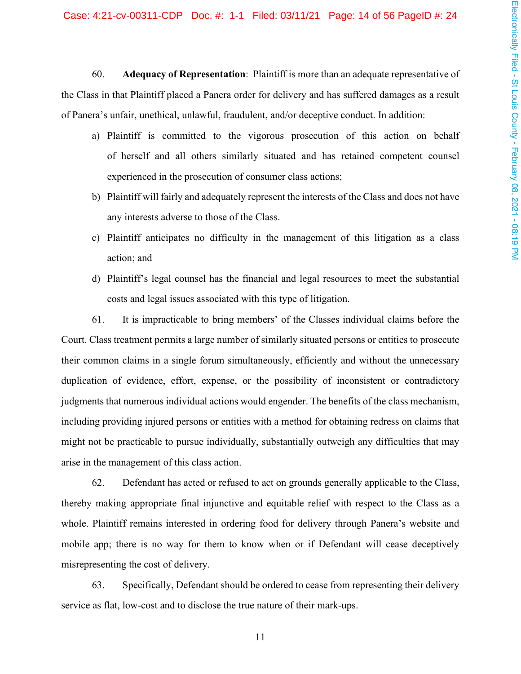60. Adequacy of Representation: Plaintiff is more than an adequate representative of the Class in that Plaintiff placed a Panera order for delivery and has suffered damages as a result of Panera's unfair, unethical, unlawful, fraudulent, and/or deceptive conduct. In addition:

- a) Plaintiff is committed to the vigorous prosecution of this action on behalf of herself and all others similarly situated and has retained competent counsel experienced in the prosecution of consumer class actions;
- b) Plaint iff will fairly and adequately represent the interests of the Class and does not have any interests adverse to those of the Class.
- c) Plaintiff anticipates no difficulty in the management of this litigation as a class action; and
- d) Plaintiff's legal counsel has the financial and legal resources to meet the substantial costs and legal issues associated with this type of litigation.

61. It is impracticable to bring members' of the Classes individual claims before the Court. Class treatment permits a large number of similarly situated persons or entities to prosecute their common claims in a single forum simultaneously, efficiently and without the unnecessary duplication of evidence, effort, expense, or the possibility of inconsistent or contradictory judgments that numerous individual actions would engender. The benefits of the class mechanism, including providing injured persons or entities with a method for obtaining redress on claims that might not be practicable to pursue individually, substantially outweigh any difficulties that may arise in the management of this class action.

62. Defendant has acted or refused to act on grounds generally applicable to the Class, thereby making appropriate final injunctive and equitable relief with respect to the Class as a whole. Plaintiff remains interested in ordering food for delivery through Panera's website and mobile app; there is no way for them to know when or if Defendant will cease deceptively misrepresenting the cost of delivery.

63. Specifically, Defendant should be ordered to cease from representing their delivery service as flat, low-cost and to disclose the true nature of their mark-ups.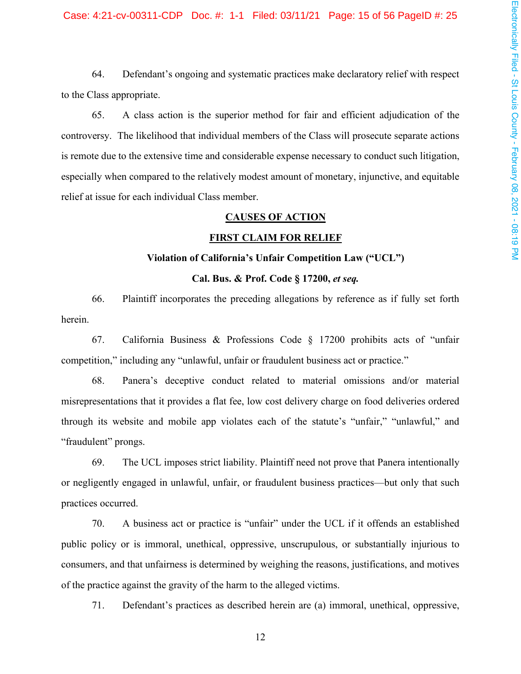64. Defendant's ongoing and systematic practices make declaratory relief with respect to the Class appropriate.

65. A class action is the superior method for fair and efficient adjudication of the controversy. The likelihood that individual members of the Class will prosecute separate actions is remote due to the extensive time and considerable expense necessary to conduct such litigation, especially when compared to the relatively modest amount of monetary, injunctive, and equitable relief at issue for each individual Class member.

#### **CAUSES OF ACTION**

#### **FIRST CLAIM FOR RELIEF**

#### Violation of California's Unfair Competition Law ("UCL")

## Cal. Bus. & Prof. Code § 17200, et seq.

66. Plaintiff incorporates the preceding allegations by reference as if fully set forth herein.

67. California Business & Professions Code  $\S$  17200 prohibits acts of "unfair competition," including any "unlawful, unfair or fraudulent business act or practice."

68. Panera's deceptive conduct related to material omissions and/or material misrepresentations that it provides a flat fee, low cost delivery charge on food deliveries ordered through its website and mobile app violates each of the statute's "unfair," "unlawful," and "fraudulent" prongs.

69. The UCL imposes strict liability. Plaintiff need not prove that Panera intentionally or negligently engaged in unlawful, unfair, or fraudulent business practices—but only that such practices occurred.

70. A business act or practice is "unfair" under the UCL if it offends an established public policy or is immoral, unethical, oppressive, unscrupulous, or substantially injurious to consumers, and that unfairness is determined by weighing the reasons, justifications, and motives of the practice against the gravity of the harm to the alleged victims.

71. Defendant's practices as described herein are (a) immoral, unethical, oppressive,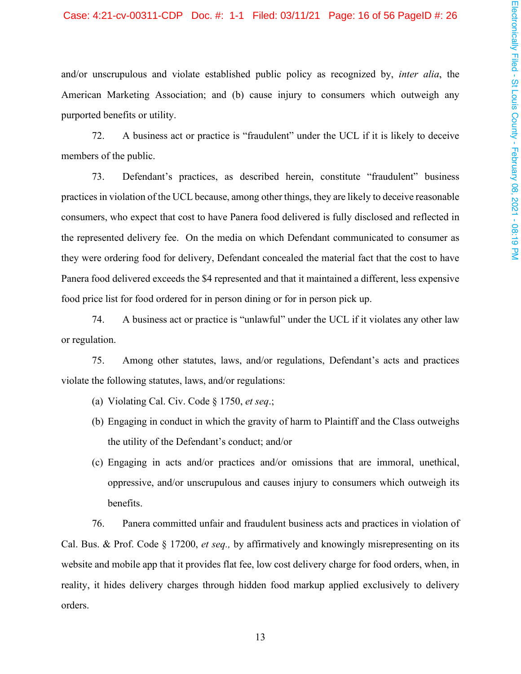#### Case: 4:21-cv-00311-CDP Doc. #: 1-1 Filed: 03/11/21 Page: 16 of 56 PageID #: 26

and/or unscrupulous and violate established public policy as recognized by, *inter alia*, the American Marketing Association; and (b) cause injury to consumers which outweigh any purported benefits or utility.

A business act or practice is "fraudulent" under the UCL if it is likely to deceive 72. members of the public.

73. Defendant's practices, as described herein, constitute "fraudulent" business practices in violation of the UCL because, among other things, they are likely to deceive reasonable consumers, who expect that cost to have Panera food delivered is fully disclosed and reflected in the represented delivery fee. On the media on which Defendant communicated to consumer as they were ordering food for delivery, Defendant concealed the material fact that the cost to have Panera food delivered exceeds the \$4 represented and that it maintained a different, less expensive food price list for food ordered for in person dining or for in person pick up.

74. A business act or practice is "unlawful" under the UCL if it violates any other law or regulation.

Among other statutes, laws, and/or regulations, Defendant's acts and practices 75. violate the following statutes, laws, and/or regulations:

- (a) Violating Cal. Civ. Code  $\S 1750$ , et seq.;
- (b) Engaging in conduct in which the gravity of harm to Plaintiff and the Class outweighs the utility of the Defendant's conduct; and/or
- (c) Engaging in acts and/or practices and/or omissions that are immoral, unethical, oppressive, and/or unscrupulous and causes injury to consumers which outweigh its benefits.

76. Panera committed unfair and fraudulent business acts and practices in violation of Cal. Bus. & Prof. Code § 17200, et seq., by affirmatively and knowingly misrepresenting on its website and mobile app that it provides flat fee, low cost delivery charge for food orders, when, in reality, it hides delivery charges through hidden food markup applied exclusively to delivery orders.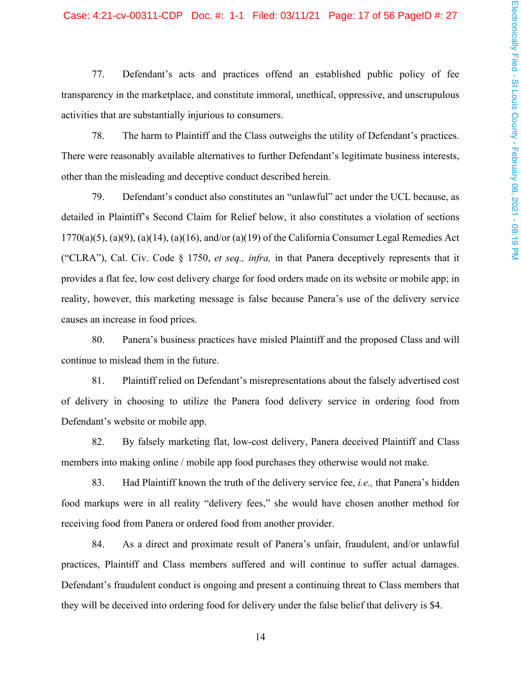## Case: 4:21-cv-00311-CDP Doc. #: 1-1 Filed: 03/11/21 Page: 17 of 56 PageID #: 27

77. Defendant's acts and practices offend an established public policy of fee transparency in the marketplace, and constitute immoral, unethical, oppressive, and unscrupulous activities that are substantially injurious to consumers.

78. The harm to Plaintiff and the Class outweighs the utility of Defendant's practices. There were reasonably available alternatives to further Defendant's legitimate business interests, other than the misleading and deceptive conduct described herein.

79. Defendant's conduct also constitutes an "unlawful" act under the UCL because, as detailed in Plaintiff's Second Claim for Relief below, it also constitutes a violation of sections  $1770(a)(5)$ ,  $(a)(9)$ ,  $(a)(14)$ ,  $(a)(16)$ , and/or  $(a)(19)$  of the California Consumer Legal Remedies Act ("CLRA"), Cal. Civ. Code § 1750, et seq., infra, in that Panera deceptively represents that it provides a flat fee, low cost delivery charge for food orders made on its website or mobile app; in reality, however, this marketing message is false because Panera's use of the delivery service causes an increase in food prices.

80. Panera's business practices have misled Plaintiff and the proposed Class and will continue to mislead them in the future.

81. Plaintiff relied on Defendant's misrepresentations about the falsely advertised cost of delivery in choosing to utilize the Panera food delivery service in ordering food from Defendant's website or mobile app.

82. By falsely marketing flat, low-cost delivery, Panera deceived Plaintiff and Class members into making online / mobile app food purchases they otherwise would not make.

83. Had Plaintiff known the truth of the delivery service fee, *i.e.*, that Panera's hidden food markups were in all reality "delivery fees," she would have chosen another method for receiving food from Panera or ordered food from another provider.

84. As a direct and proximate result of Panera's unfair, fraudulent, and/or unlawful practices, Plaintiff and Class members suffered and will continue to suffer actual damages. Defendant's fraudulent conduct is ongoing and present a continuing threat to Class members that they will be deceived into ordering food for delivery under the false belief that delivery is \$4.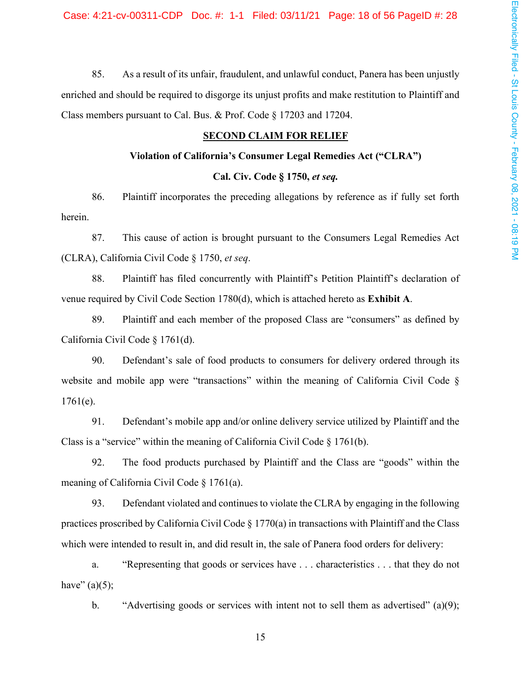85. As a result of its unfair, fraudulent, and unlawful conduct, Panera has been unjustly enriched and should be required to disgorge its unjust profits and make restitution to Plaintiff and Class members pursuant to Cal. Bus. & Prof. Code § 17203 and 17204.

# **SECOND CLAIM FOR RELIEF**

#### Violation of California's Consumer Legal Remedies Act ("CLRA")

## Cal. Civ. Code § 1750, et seq.

86. Plaintiff incorporates the preceding allegations by reference as if fully set forth herein.

87. This cause of action is brought pursuant to the Consumers Legal Remedies Act (CLRA), California Civil Code § 1750, et seq.

88. Plaintiff has filed concurrently with Plaintiff's Petition Plaintiff's declaration of venue required by Civil Code Section 1780(d), which is attached hereto as Exhibit A.

89. Plaintiff and each member of the proposed Class are "consumers" as defined by California Civil Code § 1761(d).

90. Defendant's sale of food products to consumers for delivery ordered through its website and mobile app were "transactions" within the meaning of California Civil Code §  $1761(e)$ .

91. Defendant's mobile app and/or online delivery service utilized by Plaintiff and the Class is a "service" within the meaning of California Civil Code  $\S 1761(b)$ .

92. The food products purchased by Plaintiff and the Class are "goods" within the meaning of California Civil Code  $\S 1761(a)$ .

93. Defendant violated and continues to violate the CLRA by engaging in the following practices proscribed by California Civil Code  $\S 1770(a)$  in transactions with Plaintiff and the Class which were intended to result in, and did result in, the sale of Panera food orders for delivery:

a. "Representing that goods or services have . . . characteristics . . . that they do not have"  $(a)(5)$ ;

"Advertising goods or services with intent not to sell them as advertised" (a)(9);  $\mathbf b$ .

15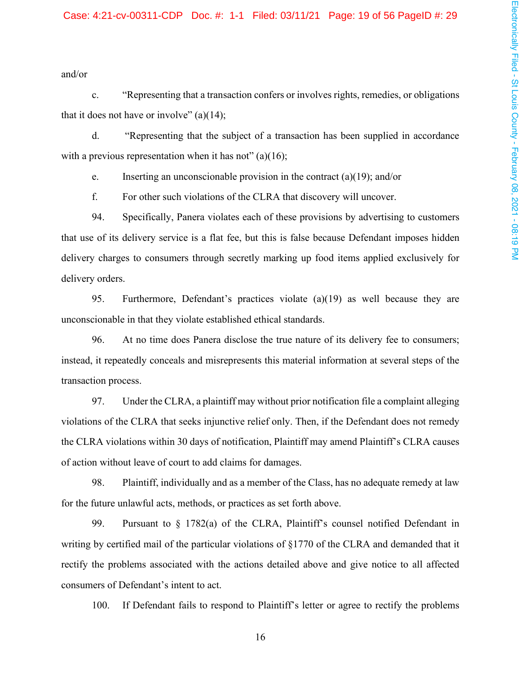#### Case: 4:21-cv-00311-CDP Doc. #: 1-1 Filed: 03/11/21 Page: 19 of 56 PageID #: 29

and/or

"Representing that a transaction confers or involves rights, remedies, or obligations  $\mathbf{c}$ . that it does not have or involve"  $(a)(14)$ ;

d. "Representing that the subject of a transaction has been supplied in accordance with a previous representation when it has not" (a)(16);

Inserting an unconscionable provision in the contract (a)(19); and/or e.

f. For other such violations of the CLRA that discovery will uncover.

94. Specifically, Panera violates each of these provisions by advertising to customers that use of its delivery service is a flat fee, but this is false because Defendant imposes hidden delivery charges to consumers through secretly marking up food items applied exclusively for delivery orders.

95. Furthermore, Defendant's practices violate  $(a)(19)$  as well because they are unconscionable in that they violate established ethical standards.

96. At no time does Panera disclose the true nature of its delivery fee to consumers; instead, it repeatedly conceals and misrepresents this material information at several steps of the transaction process.

97. Under the CLRA, a plaintiff may without prior notification file a complaint alleging violations of the CLRA that seeks injunctive relief only. Then, if the Defendant does not remedy the CLRA violations within 30 days of notification, Plaintiff may amend Plaintiff's CLRA causes of action without leave of court to add claims for damages.

98. Plaintiff, individually and as a member of the Class, has no adequate remedy at law for the future unlawful acts, methods, or practices as set forth above.

99. Pursuant to  $\S$  1782(a) of the CLRA, Plaintiff's counsel notified Defendant in writing by certified mail of the particular violations of §1770 of the CLRA and demanded that it rectify the problems associated with the actions detailed above and give notice to all affected consumers of Defendant's intent to act.

If Defendant fails to respond to Plaintiff's letter or agree to rectify the problems 100.

16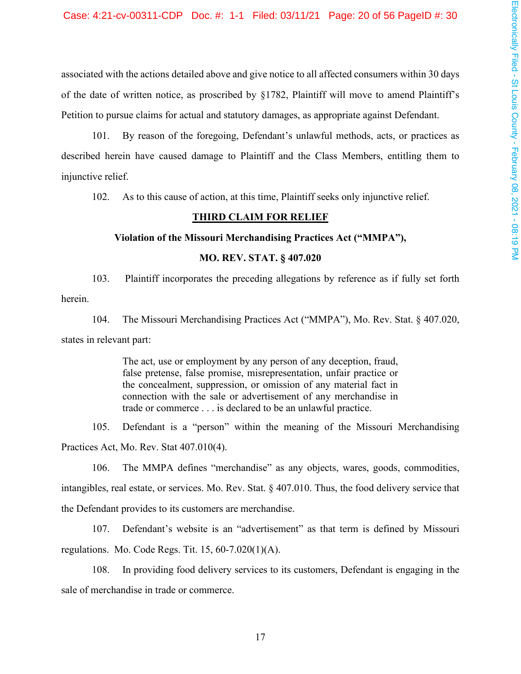associated with the actions detailed above and give notice to all affected consumers within 30 days of the date of written notice, as proscribed by §1782, Plaintiff will move to amend Plaintiff's Petition to pursue claims for actual and statutory damages, as appropriate against Defendant.

101. By reason of the foregoing, Defendant's unlawful methods, acts, or practices as described herein have caused damage to Plaintiff and the Class Members, entitling them to injunctive relief.

As to this cause of action, at this time, Plaintiff seeks only injunctive relief. 102.

# **THIRD CLAIM FOR RELIEF**

#### Violation of the Missouri Merchandising Practices Act ("MMPA"),

# **MO. REV. STAT. § 407.020**

 $103.$ Plaintiff incorporates the preceding allegations by reference as if fully set forth herein.

104. The Missouri Merchandising Practices Act ("MMPA"), Mo. Rev. Stat. § 407.020, states in relevant part:

> The act, use or employment by any person of any deception, fraud, false pretense, false promise, misrepresentation, unfair practice or the concealment, suppression, or omission of any material fact in connection with the sale or advertisement of any merchandise in trade or commerce . . . is declared to be an unlawful practice.

Defendant is a "person" within the meaning of the Missouri Merchandising 105. Practices Act, Mo. Rev. Stat 407.010(4).

106. The MMPA defines "merchandise" as any objects, wares, goods, commodities, intangibles, real estate, or services. Mo. Rev. Stat. § 407.010. Thus, the food delivery service that the Defendant provides to its customers are merchandise.

Defendant's website is an "advertisement" as that term is defined by Missouri 107. regulations. Mo. Code Regs. Tit.  $15, 60-7.020(1)(A)$ .

In providing food delivery services to its customers, Defendant is engaging in the 108. sale of merchandise in trade or commerce.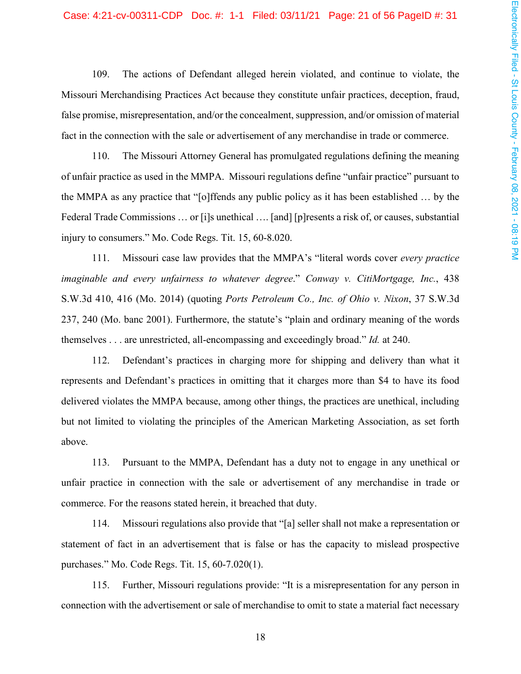#### Case: 4:21-cv-00311-CDP Doc. #: 1-1 Filed: 03/11/21 Page: 21 of 56 PageID #: 31

109. The actions of Defendant alleged herein violated, and continue to violate, the Missouri Merchandising Practices Act because they constitute unfair practices, deception, fraud, false promise, misrepresentation, and/or the concealment, suppression, and/or omission of material fact in the connection with the sale or advertisement of any merchandise in trade or commerce.

110. The Missouri Attorney General has promulgated regulations defining the meaning of unfair practice as used in the MMPA. Missouri regulations define "unfair practice" pursuant to the MMPA as any practice that "[o]ffends any public policy as it has been established ... by the Federal Trade Commissions ... or [i]s unethical ... [and] [p] resents a risk of, or causes, substantial injury to consumers." Mo. Code Regs. Tit. 15, 60-8.020.

111. Missouri case law provides that the MMPA's "literal words cover every practice" imaginable and every unfairness to whatever degree." Conway v. CitiMortgage, Inc., 438 S.W.3d 410, 416 (Mo. 2014) (quoting Ports Petroleum Co., Inc. of Ohio v. Nixon, 37 S.W.3d 237, 240 (Mo. banc 2001). Furthermore, the statute's "plain and ordinary meaning of the words themselves . . . are unrestricted, all-encompassing and exceedingly broad." *Id.* at 240.

112. Defendant's practices in charging more for shipping and delivery than what it represents and Defendant's practices in omitting that it charges more than \$4 to have its food delivered violates the MMPA because, among other things, the practices are unethical, including but not limited to violating the principles of the American Marketing Association, as set forth above.

113. Pursuant to the MMPA, Defendant has a duty not to engage in any unethical or unfair practice in connection with the sale or advertisement of any merchandise in trade or commerce. For the reasons stated herein, it breached that duty.

114. Missouri regulations also provide that "[a] seller shall not make a representation or statement of fact in an advertisement that is false or has the capacity to mislead prospective purchases." Mo. Code Regs. Tit. 15, 60-7.020(1).

115. Further, Missouri regulations provide: "It is a misrepresentation for any person in connection with the advertisement or sale of merchandise to omit to state a material fact necessary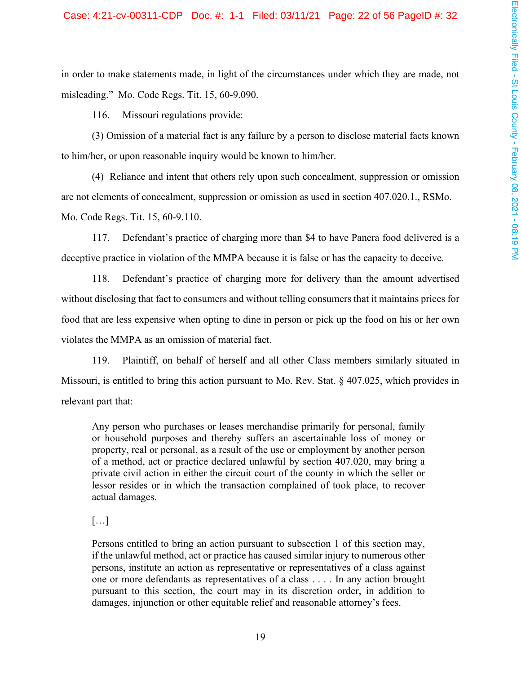in order to make statements made, in light of the circumstances under which they are made, not misleading." Mo. Code Regs. Tit. 15, 60-9.090.

116. Missouri regulations provide:

(3) Omission of a material fact is any failure by a person to disclose material facts known to him/her, or upon reasonable inquiry would be known to him/her.

(4) Reliance and intent that others rely upon such concealment, suppression or omission are not elements of concealment, suppression or omission as used in section 407.020.1., RSMo. Mo. Code Regs. Tit. 15, 60-9.110.

Defendant's practice of charging more than \$4 to have Panera food delivered is a 117. deceptive practice in violation of the MMPA because it is false or has the capacity to deceive.

Defendant's practice of charging more for delivery than the amount advertised 118. without disclosing that fact to consumers and without telling consumers that it maintains prices for food that are less expensive when opting to dine in person or pick up the food on his or her own violates the MMPA as an omission of material fact.

119. Plaintiff, on behalf of herself and all other Class members similarly situated in Missouri, is entitled to bring this action pursuant to Mo. Rev. Stat. § 407.025, which provides in relevant part that:

Any person who purchases or leases merchandise primarily for personal, family or household purposes and thereby suffers an ascertainable loss of money or property, real or personal, as a result of the use or employment by another person of a method, act or practice declared unlawful by section 407.020, may bring a private civil action in either the circuit court of the county in which the seller or lessor resides or in which the transaction complained of took place, to recover actual damages.

## $\left[\ldots\right]$

Persons entitled to bring an action pursuant to subsection 1 of this section may, if the unlawful method, act or practice has caused similar injury to numerous other persons, institute an action as representative or representatives of a class against one or more defendants as representatives of a class . . . . In any action brought pursuant to this section, the court may in its discretion order, in addition to damages, injunction or other equitable relief and reasonable attorney's fees.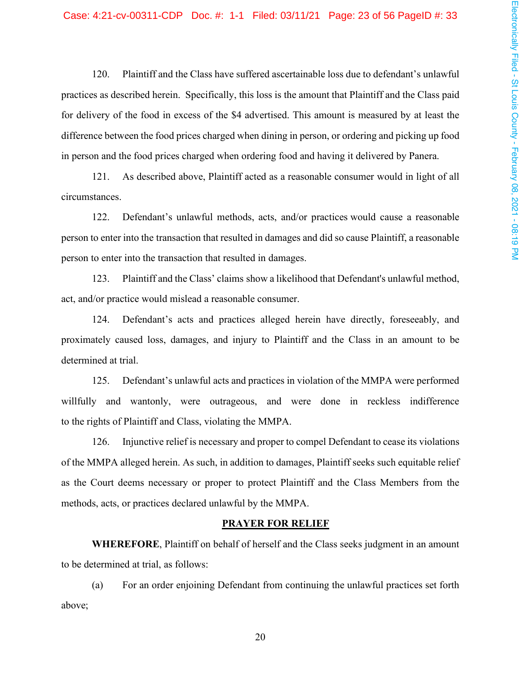120. Plaintiff and the Class have suffered ascertainable loss due to defendant's unlawful practices as described herein. Specifically, this loss is the amount that Plaintiff and the Class paid for delivery of the food in excess of the \$4 advertised. This amount is measured by at least the difference between the food prices charged when dining in person, or ordering and picking up food in person and the food prices charged when ordering food and having it delivered by Panera.

As described above, Plaintiff acted as a reasonable consumer would in light of all  $121.$ circumstances.

122. Defendant's unlawful methods, acts, and/or practices would cause a reasonable person to enter into the transaction that resulted in damages and did so cause Plaintiff, a reasonable person to enter into the transaction that resulted in damages.

Plaintiff and the Class' claims show a likelihood that Defendant's unlawful method, 123. act, and/or practice would mislead a reasonable consumer.

124. Defendant's acts and practices alleged herein have directly, foreseeably, and proximately caused loss, damages, and injury to Plaintiff and the Class in an amount to be determined at trial.

Defendant's unlawful acts and practices in violation of the MMPA were performed 125. willfully and wantonly, were outrageous, and were done in reckless indifference to the rights of Plaintiff and Class, violating the MMPA.

Injunctive relief is necessary and proper to compel Defendant to cease its violations 126. of the MMPA alleged herein. As such, in addition to damages, Plaintiff seeks such equitable relief as the Court deems necessary or proper to protect Plaintiff and the Class Members from the methods, acts, or practices declared unlawful by the MMPA.

#### **PRAYER FOR RELIEF**

WHEREFORE, Plaintiff on behalf of herself and the Class seeks judgment in an amount to be determined at trial, as follows:

For an order enjoining Defendant from continuing the unlawful practices set forth  $(a)$ above;